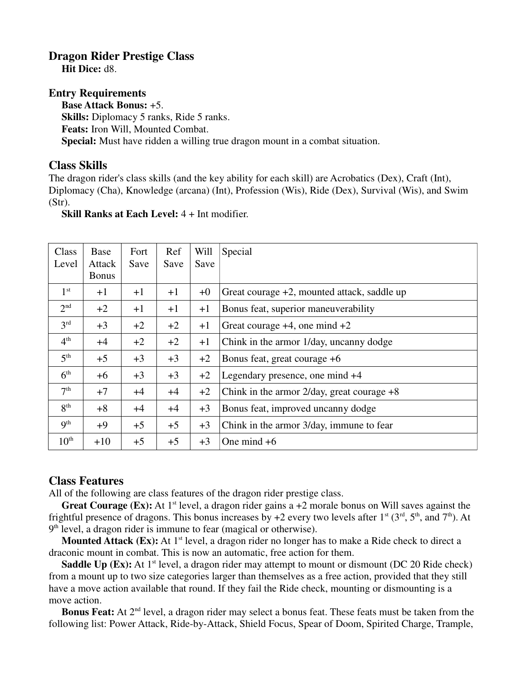## **Dragon Rider Prestige Class**

 **Hit Dice:** d8.

## **Entry Requirements**

 **Base Attack Bonus:** +5. **Skills:** Diplomacy 5 ranks, Ride 5 ranks. **Feats:** Iron Will, Mounted Combat. **Special:** Must have ridden a willing true dragon mount in a combat situation.

## **Class Skills**

The dragon rider's class skills (and the key ability for each skill) are Acrobatics (Dex), Craft (Int), Diplomacy (Cha), Knowledge (arcana) (Int), Profession (Wis), Ride (Dex), Survival (Wis), and Swim (Str).

**Skill Ranks at Each Level:** 4 + Int modifier.

| Class<br>Level   | Base<br>Attack<br><b>Bonus</b> | Fort<br>Save | Ref<br>Save | Will<br>Save | Special                                        |
|------------------|--------------------------------|--------------|-------------|--------------|------------------------------------------------|
| $1^{\rm st}$     | $+1$                           | $+1$         | $+1$        | $+0$         | Great courage $+2$ , mounted attack, saddle up |
| 2 <sup>nd</sup>  | $+2$                           | $+1$         | $+1$        | $+1$         | Bonus feat, superior maneuverability           |
| 3 <sup>rd</sup>  | $+3$                           | $+2$         | $+2$        | $+1$         | Great courage $+4$ , one mind $+2$             |
| 4 <sup>th</sup>  | $+4$                           | $+2$         | $+2$        | $+1$         | Chink in the armor 1/day, uncanny dodge        |
| 5 <sup>th</sup>  | $+5$                           | $+3$         | $+3$        | $+2$         | Bonus feat, great courage +6                   |
| 6 <sup>th</sup>  | $+6$                           | $+3$         | $+3$        | $+2$         | Legendary presence, one mind +4                |
| 7 <sup>th</sup>  | $+7$                           | $+4$         | $+4$        | $+2$         | Chink in the armor $2$ /day, great courage +8  |
| 8 <sup>th</sup>  | $+8$                           | $+4$         | $+4$        | $+3$         | Bonus feat, improved uncanny dodge             |
| 9 <sup>th</sup>  | $+9$                           | $+5$         | $+5$        | $+3$         | Chink in the armor 3/day, immune to fear       |
| $10^{\text{th}}$ | $+10$                          | $+5$         | $+5$        | $+3$         | One mind $+6$                                  |

## **Class Features**

All of the following are class features of the dragon rider prestige class.

**Great Courage (Ex):** At 1<sup>st</sup> level, a dragon rider gains a  $+2$  morale bonus on Will saves against the frightful presence of dragons. This bonus increases by  $+2$  every two levels after  $1^{st}$  ( $3^{rd}$ ,  $5^{th}$ , and  $7^{th}$ ). At 9<sup>th</sup> level, a dragon rider is immune to fear (magical or otherwise).

**Mounted Attack (Ex):** At 1<sup>st</sup> level, a dragon rider no longer has to make a Ride check to direct a draconic mount in combat. This is now an automatic, free action for them.

**Saddle Up (Ex):** At 1<sup>st</sup> level, a dragon rider may attempt to mount or dismount (DC 20 Ride check) from a mount up to two size categories larger than themselves as a free action, provided that they still have a move action available that round. If they fail the Ride check, mounting or dismounting is a move action.

**Bonus Feat:** At 2<sup>nd</sup> level, a dragon rider may select a bonus feat. These feats must be taken from the following list: Power Attack, Ride-by-Attack, Shield Focus, Spear of Doom, Spirited Charge, Trample,